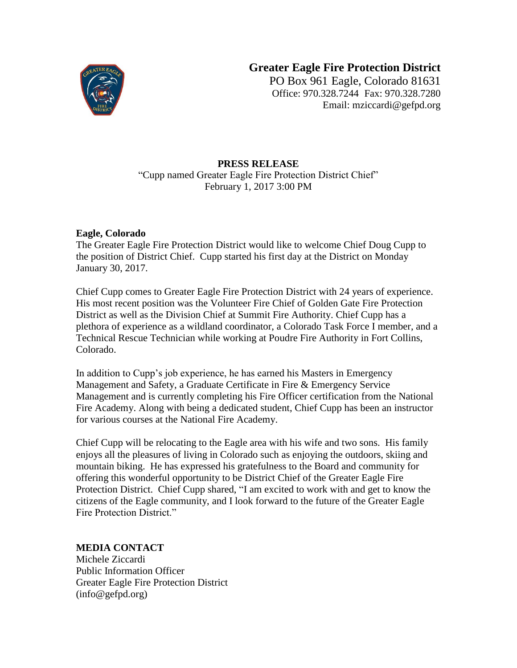

## **Greater Eagle Fire Protection District**

PO Box 961 Eagle, Colorado 81631 Office: 970.328.7244 Fax: 970.328.7280 Email: mziccardi@gefpd.org

## **PRESS RELEASE** "Cupp named Greater Eagle Fire Protection District Chief" February 1, 2017 3:00 PM

## **Eagle, Colorado**

The Greater Eagle Fire Protection District would like to welcome Chief Doug Cupp to the position of District Chief. Cupp started his first day at the District on Monday January 30, 2017.

Chief Cupp comes to Greater Eagle Fire Protection District with 24 years of experience. His most recent position was the Volunteer Fire Chief of Golden Gate Fire Protection District as well as the Division Chief at Summit Fire Authority. Chief Cupp has a plethora of experience as a wildland coordinator, a Colorado Task Force I member, and a Technical Rescue Technician while working at Poudre Fire Authority in Fort Collins, Colorado.

In addition to Cupp's job experience, he has earned his Masters in Emergency Management and Safety, a Graduate Certificate in Fire & Emergency Service Management and is currently completing his Fire Officer certification from the National Fire Academy. Along with being a dedicated student, Chief Cupp has been an instructor for various courses at the National Fire Academy.

Chief Cupp will be relocating to the Eagle area with his wife and two sons. His family enjoys all the pleasures of living in Colorado such as enjoying the outdoors, skiing and mountain biking. He has expressed his gratefulness to the Board and community for offering this wonderful opportunity to be District Chief of the Greater Eagle Fire Protection District. Chief Cupp shared, "I am excited to work with and get to know the citizens of the Eagle community, and I look forward to the future of the Greater Eagle Fire Protection District."

## **MEDIA CONTACT**

Michele Ziccardi Public Information Officer Greater Eagle Fire Protection District (info@gefpd.org)